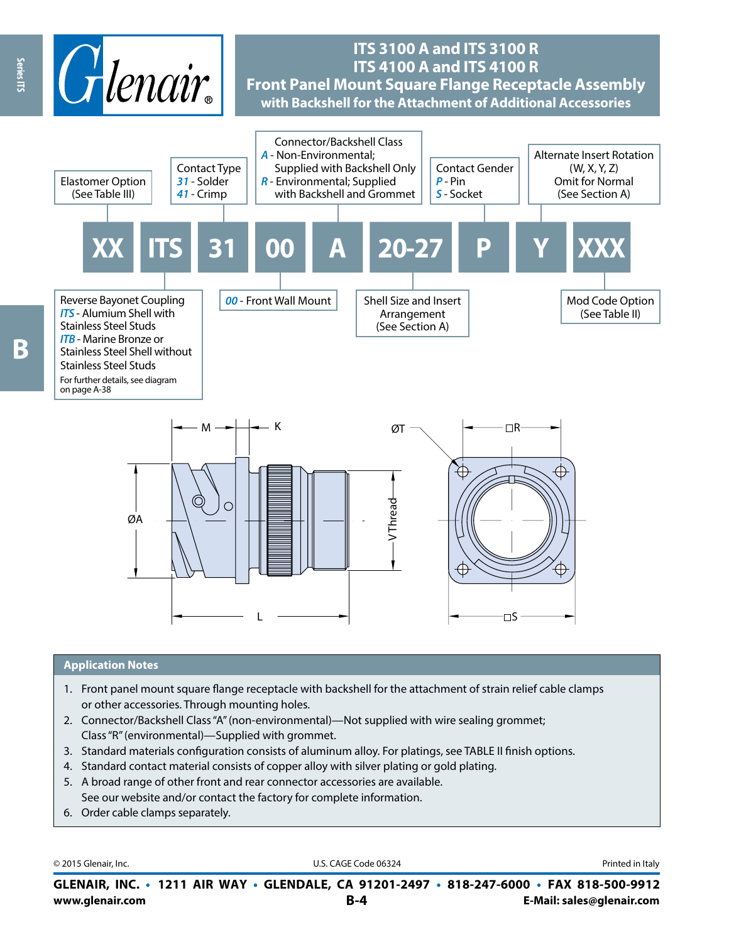

## **ITS 3100 A and ITS 3100 R ITS 4100 A and ITS 4100 R Front Panel Mount Square Flange Receptacle Assembly with Backshell for the Attachment of Additional Accessories**





#### **Application Notes**

- 1. Front panel mount square flange receptacle with backshell for the attachment of strain relief cable clamps or other accessories. Through mounting holes.
- 2. Connector/Backshell Class "A" (non-environmental)—Not supplied with wire sealing grommet; Class "R" (environmental)—Supplied with grommet.
- 3. Standard materials configuration consists of aluminum alloy. For platings, see TABLE II finish options.
- 4. Standard contact material consists of copper alloy with silver plating or gold plating.
- 5. A broad range of other front and rear connector accessories are available. See our website and/or contact the factory for complete information.
- 6. Order cable clamps separately.

© 2015 Glenair, Inc. **Discription Construction Construction Construction Construction Construction Construction Construction Construction Construction Construction Construction Construction Construction Construction Constr** 

**www.glenair.com B-4 E-Mail: sales@glenair.com GLENAIR, INC. • 1211 AIR WAY • GLENDALE, CA 91201-2497 • 818-247-6000 • FAX 818-500-9912**

Series ITS